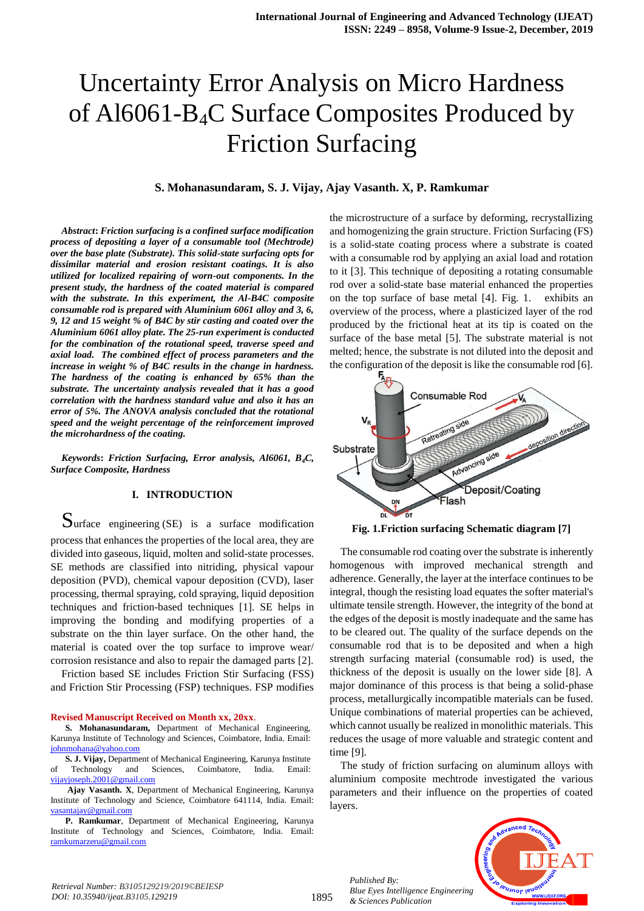# Uncertainty Error Analysis on Micro Hardness of Al6061-B4C Surface Composites Produced by Friction Surfacing

#### **S. Mohanasundaram, S. J. Vijay, Ajay Vasanth. X, P. Ramkumar**

*Abstract***:** *Friction surfacing is a confined surface modification process of depositing a layer of a consumable tool (Mechtrode) over the base plate (Substrate). This solid-state surfacing opts for dissimilar material and erosion resistant coatings. It is also utilized for localized repairing of worn-out components. In the present study, the hardness of the coated material is compared with the substrate. In this experiment, the Al-B4C composite consumable rod is prepared with Aluminium 6061 alloy and 3, 6, 9, 12 and 15 weight % of B4C by stir casting and coated over the Aluminium 6061 alloy plate. The 25-run experiment is conducted for the combination of the rotational speed, traverse speed and axial load. The combined effect of process parameters and the increase in weight % of B4C results in the change in hardness. The hardness of the coating is enhanced by 65% than the substrate. The uncertainty analysis revealed that it has a good correlation with the hardness standard value and also it has an error of 5%. The ANOVA analysis concluded that the rotational speed and the weight percentage of the reinforcement improved the microhardness of the coating.*

*Keywords***:** *Friction Surfacing, Error analysis, Al6061, B4C, Surface Composite, Hardness*

# **I. INTRODUCTION**

Surface engineering (SE) is a surface modification process that enhances the properties of the local area, they are divided into gaseous, liquid, molten and solid-state processes. SE methods are classified into nitriding, physical vapour deposition (PVD), chemical vapour deposition (CVD), laser processing, thermal spraying, cold spraying, liquid deposition techniques and friction-based techniques [1]. SE helps in improving the bonding and modifying properties of a substrate on the thin layer surface. On the other hand, the material is coated over the top surface to improve wear/ corrosion resistance and also to repair the damaged parts [2].

Friction based SE includes Friction Stir Surfacing (FSS) and Friction Stir Processing (FSP) techniques. FSP modifies

#### **Revised Manuscript Received on Month xx, 20xx**.

**S. Mohanasundaram,** Department of Mechanical Engineering, Karunya Institute of Technology and Sciences, Coimbatore, India. Email: [johnmohana@yahoo.com](mailto:johnmohana@yahoo.com)

**S. J. Vijay,** Department of Mechanical Engineering, Karunya Institute Technology and Sciences, Coimbatore, India. Email: [vijayjoseph.2001@gmail.com](mailto:vijayjoseph.2001@gmail.com)

**Ajay Vasanth. X**, Department of Mechanical Engineering, Karunya Institute of Technology and Science, Coimbatore 641114, India. Email: [vasantajay@gmail.com](mailto:vasantajay@gmail.com)

**P. Ramkumar**, Department of Mechanical Engineering, Karunya Institute of Technology and Sciences, Coimbatore, India. Email: [ramkumarzeru@gmail.com](mailto:ramkumarzeru@gmail.com)

the microstructure of a surface by deforming, recrystallizing and homogenizing the grain structure. Friction Surfacing (FS) is a solid-state coating process where a substrate is coated with a consumable rod by applying an axial load and rotation to it [3]. This technique of depositing a rotating consumable rod over a solid-state base material enhanced the properties on the top surface of base metal [4]. Fig. 1. exhibits an overview of the process, where a plasticized layer of the rod produced by the frictional heat at its tip is coated on the surface of the base metal [5]. The substrate material is not melted; hence, the substrate is not diluted into the deposit and the configuration of the deposit is like the consumable rod [6].



**Fig. 1.Friction surfacing Schematic diagram [7]**

The consumable rod coating over the substrate is inherently homogenous with improved mechanical strength and adherence. Generally, the layer at the interface continues to be integral, though the resisting load equates the softer material's ultimate tensile strength. However, the integrity of the bond at the edges of the deposit is mostly inadequate and the same has to be cleared out. The quality of the surface depends on the consumable rod that is to be deposited and when a high strength surfacing material (consumable rod) is used, the thickness of the deposit is usually on the lower side [8]. A major dominance of this process is that being a solid-phase process, metallurgically incompatible materials can be fused. Unique combinations of material properties can be achieved, which cannot usually be realized in monolithic materials. This reduces the usage of more valuable and strategic content and time [9].

The study of friction surfacing on aluminum alloys with aluminium composite mechtrode investigated the various parameters and their influence on the properties of coated layers.

*Published By: Blue Eyes Intelligence Engineering & Sciences Publication* 



*Retrieval Number: B3105129219/2019©BEIESP DOI: 10.35940/ijeat.B3105.129219*

1895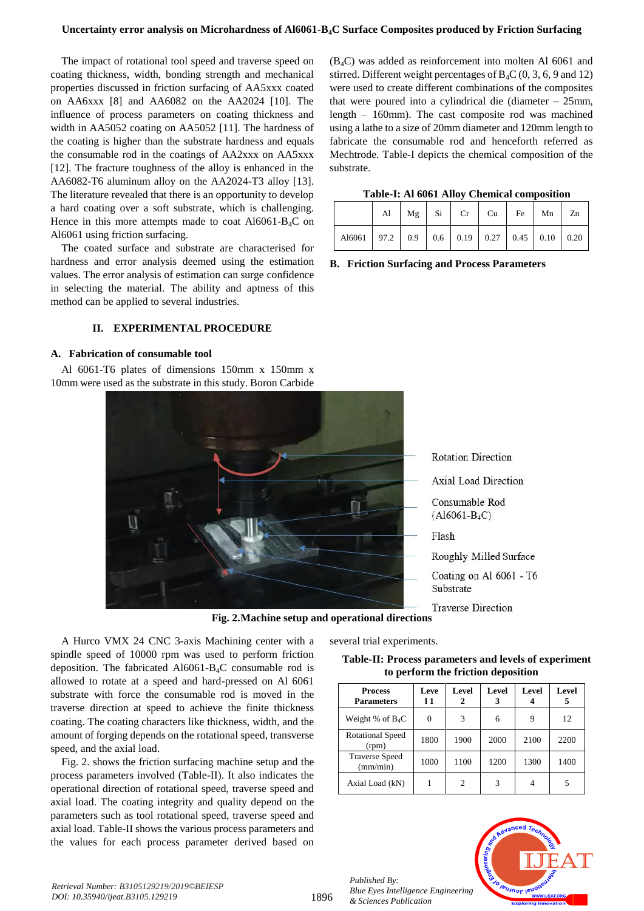#### **Uncertainty error analysis on Microhardness of Al6061-B4C Surface Composites produced by Friction Surfacing**

The impact of rotational tool speed and traverse speed on coating thickness, width, bonding strength and mechanical properties discussed in friction surfacing of AA5xxx coated on AA6xxx [8] and AA6082 on the AA2024 [10]. The influence of process parameters on coating thickness and width in AA5052 coating on AA5052 [11]. The hardness of the coating is higher than the substrate hardness and equals the consumable rod in the coatings of AA2xxx on AA5xxx [12]. The fracture toughness of the alloy is enhanced in the AA6082-T6 aluminum alloy on the AA2024-T3 alloy [13]. The literature revealed that there is an opportunity to develop a hard coating over a soft substrate, which is challenging. Hence in this more attempts made to coat  $A16061-B_4C$  on Al6061 using friction surfacing.

The coated surface and substrate are characterised for hardness and error analysis deemed using the estimation values. The error analysis of estimation can surge confidence in selecting the material. The ability and aptness of this method can be applied to several industries.

## **II. EXPERIMENTAL PROCEDURE**

#### **A. Fabrication of consumable tool**

Al 6061-T6 plates of dimensions 150mm x 150mm x 10mm were used as the substrate in this study. Boron Carbide

 $(B_4C)$  was added as reinforcement into molten Al 6061 and stirred. Different weight percentages of  $B_4C(0, 3, 6, 9, 12)$ were used to create different combinations of the composites that were poured into a cylindrical die (diameter – 25mm, length – 160mm). The cast composite rod was machined using a lathe to a size of 20mm diameter and 120mm length to fabricate the consumable rod and henceforth referred as Mechtrode. Table-I depicts the chemical composition of the substrate.

|  |  |  |  |  | Table-I: Al 6061 Alloy Chemical composition |
|--|--|--|--|--|---------------------------------------------|
|--|--|--|--|--|---------------------------------------------|

|                                                              |  | Al $\mid$ Mg $\mid$ Si $\mid$ Cr $\mid$ Cu $\mid$ Fe $\mid$ Mn $\mid$ Zn |  |  |
|--------------------------------------------------------------|--|--------------------------------------------------------------------------|--|--|
| Al6061   97.2   0.9   0.6   0.19   0.27   0.45   0.10   0.20 |  |                                                                          |  |  |

**B. Friction Surfacing and Process Parameters**



**Fig. 2.Machine setup and operational directions**

A Hurco VMX 24 CNC 3-axis Machining center with a spindle speed of 10000 rpm was used to perform friction deposition. The fabricated Al6061-B4C consumable rod is allowed to rotate at a speed and hard-pressed on Al 6061 substrate with force the consumable rod is moved in the traverse direction at speed to achieve the finite thickness coating. The coating characters like thickness, width, and the amount of forging depends on the rotational speed, transverse speed, and the axial load.

Fig. 2. shows the friction surfacing machine setup and the process parameters involved (Table-II). It also indicates the operational direction of rotational speed, traverse speed and axial load. The coating integrity and quality depend on the parameters such as tool rotational speed, traverse speed and axial load. Table-II shows the various process parameters and the values for each process parameter derived based on several trial experiments.

# **Table-II: Process parameters and levels of experiment to perform the friction deposition**

| <b>Process</b><br><b>Parameters</b> | Leve<br>11 | Level<br>2     | Level<br>3 | <b>Level</b> | Level |
|-------------------------------------|------------|----------------|------------|--------------|-------|
| Weight % of $B_4C$                  |            | 3              | 6          | 9            | 12    |
| Rotational Speed<br>(rpm)           | 1800       | 1900           | 2000       | 2100         | 2200  |
| <b>Traverse Speed</b><br>(mm/min)   | 1000       | 1100           | 1200       | 1300         | 1400  |
| Axial Load (kN)                     |            | $\overline{c}$ | 3          |              |       |

*Published By: Blue Eyes Intelligence Engineering & Sciences Publication* 

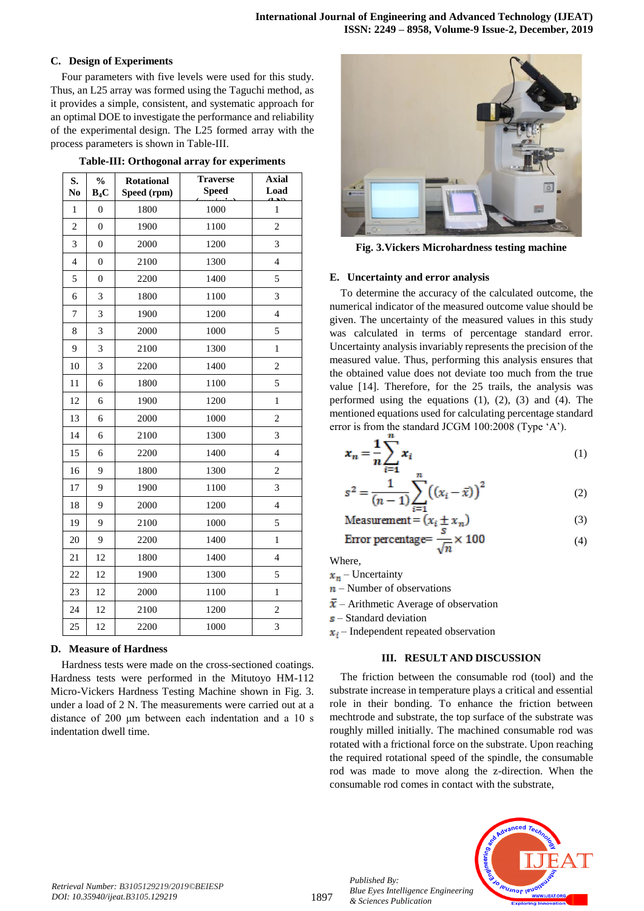# **C. Design of Experiments**

Four parameters with five levels were used for this study. Thus, an L25 array was formed using the Taguchi method, as it provides a simple, consistent, and systematic approach for an optimal DOE to investigate the performance and reliability of the experimental design. The L25 formed array with the process parameters is shown in Table-III.

|  |  | Table-III: Orthogonal array for experiments |
|--|--|---------------------------------------------|
|  |  |                                             |

| S.<br>No                 | $\frac{0}{0}$<br>$B_4C$ | <b>Rotational</b><br>Speed (rpm) | <b>Traverse</b><br><b>Speed</b> | <b>Axial</b><br>Load     |
|--------------------------|-------------------------|----------------------------------|---------------------------------|--------------------------|
| $\mathbf{1}$             | $\overline{0}$          | 1800                             | 1000                            | $\mathbf{1}$             |
| $\overline{c}$           | $\boldsymbol{0}$        | 1900                             | 1100                            | $\overline{c}$           |
| 3                        | $\overline{0}$          | 2000                             | 1200                            | 3                        |
| $\overline{\mathcal{L}}$ | $\overline{0}$          | 2100                             | 1300                            | $\overline{4}$           |
| 5                        | $\boldsymbol{0}$        | 2200                             | 1400                            | 5                        |
| 6                        | $\overline{3}$          | 1800                             | 1100                            | 3                        |
| $\overline{7}$           | 3                       | 1900                             | 1200                            | $\overline{4}$           |
| 8                        | 3                       | 2000                             | 1000                            | 5                        |
| 9                        | 3                       | 2100                             | 1300                            | $\mathbf{1}$             |
| 10                       | 3                       | 2200                             | 1400                            | $\overline{c}$           |
| 11                       | 6                       | 1800                             | 1100                            | 5                        |
| 12                       | 6                       | 1900                             | 1200                            | 1                        |
| 13                       | 6                       | 2000                             | 1000                            | $\overline{c}$           |
| 14                       | 6                       | 2100                             | 1300                            | 3                        |
| 15                       | 6                       | 2200                             | 1400                            | $\overline{\mathcal{L}}$ |
| 16                       | 9                       | 1800                             | 1300                            | $\overline{2}$           |
| 17                       | 9                       | 1900                             | 1100                            | 3                        |
| 18                       | 9                       | 2000                             | 1200                            | $\overline{4}$           |
| 19                       | 9                       | 2100                             | 1000                            | 5                        |
| 20                       | 9                       | 2200                             | 1400                            | $\mathbf{1}$             |
| 21                       | 12                      | 1800                             | 1400                            | $\overline{4}$           |
| 22                       | 12                      | 1900                             | 1300                            | 5                        |
| 23                       | 12                      | 2000                             | 1100                            | $\mathbf{1}$             |
| 24                       | 12                      | 2100                             | 1200                            | $\overline{c}$           |
| 25                       | 12                      | 2200                             | 1000                            | 3                        |

# **D. Measure of Hardness**

Hardness tests were made on the cross-sectioned coatings. Hardness tests were performed in the Mitutoyo HM-112 Micro-Vickers Hardness Testing Machine shown in Fig. 3. under a load of 2 N. The measurements were carried out at a distance of 200 μm between each indentation and a 10 s indentation dwell time.



**Fig. 3.Vickers Microhardness testing machine**

# **E. Uncertainty and error analysis**

To determine the accuracy of the calculated outcome, the numerical indicator of the measured outcome value should be given. The uncertainty of the measured values in this study was calculated in terms of percentage standard error. Uncertainty analysis invariably represents the precision of the measured value. Thus, performing this analysis ensures that the obtained value does not deviate too much from the true value [14]. Therefore, for the 25 trails, the analysis was performed using the equations  $(1)$ ,  $(2)$ ,  $(3)$  and  $(4)$ . The mentioned equations used for calculating percentage standard error is from the standard JCGM 100:2008 (Type 'A').

$$
x_n = \frac{1}{n} \sum_{i=1}^{n} x_i
$$
 (1)

<span id="page-2-0"></span>
$$
s^{2} = \frac{1}{(n-1)} \sum_{i=1}^{n} ((x_{i} - \bar{x}))^{2}
$$
 (2)

$$
Measurement = (x_i \pm x_n)
$$
 (3)

$$
Error percentage = \frac{3}{\sqrt{n}} \times 100
$$
 (4)

Where,

- $x_n$  Uncertainty
- $n$  Number of observations
- $\bar{x}$  Arithmetic Average of observation
- $s$  Standard deviation
- $x_i$  Independent repeated observation

# **III. RESULT AND DISCUSSION**

The friction between the consumable rod (tool) and the substrate increase in temperature plays a critical and essential role in their bonding. To enhance the friction between mechtrode and substrate, the top surface of the substrate was roughly milled initially. The machined consumable rod was rotated with a frictional force on the substrate. Upon reaching the required rotational speed of the spindle, the consumable rod was made to move along the z-direction. When the consumable rod comes in contact with the substrate,



*Retrieval Number: B3105129219/2019©BEIESP DOI: 10.35940/ijeat.B3105.129219*

*Published By:*

*& Sciences Publication*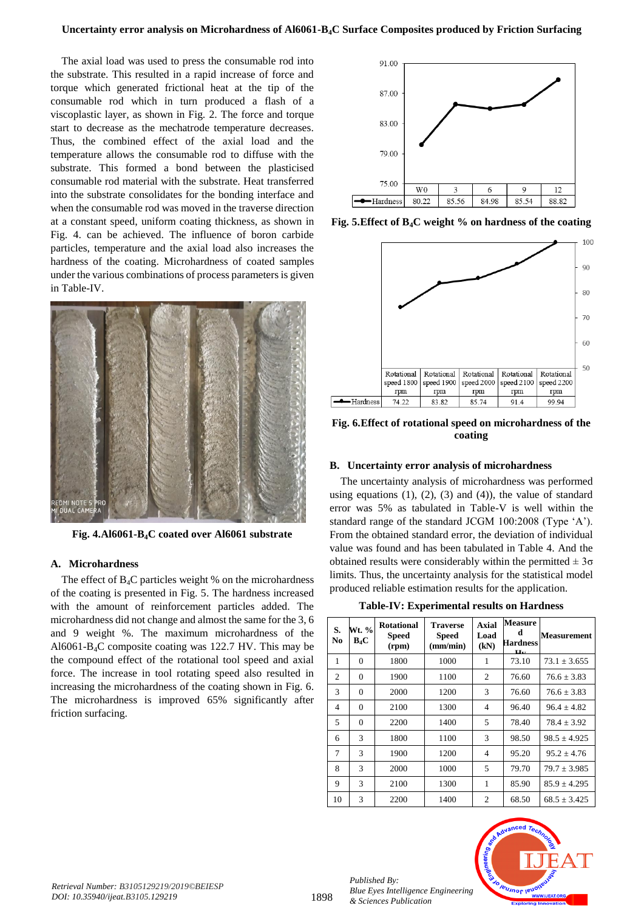The axial load was used to press the consumable rod into the substrate. This resulted in a rapid increase of force and torque which generated frictional heat at the tip of the consumable rod which in turn produced a flash of a viscoplastic layer, as shown in Fig. 2. The force and torque start to decrease as the mechatrode temperature decreases. Thus, the combined effect of the axial load and the temperature allows the consumable rod to diffuse with the substrate. This formed a bond between the plasticised consumable rod material with the substrate. Heat transferred into the substrate consolidates for the bonding interface and when the consumable rod was moved in the traverse direction at a constant speed, uniform coating thickness, as shown in Fig. 4. can be achieved. The influence of boron carbide particles, temperature and the axial load also increases the hardness of the coating. Microhardness of coated samples under the various combinations of process parameters is given in Table-IV.



**Fig. 4.Al6061-B4C coated over Al6061 substrate**

# **A. Microhardness**

The effect of  $B_4C$  particles weight % on the microhardness of the coating is presented in Fig. 5. The hardness increased with the amount of reinforcement particles added. The microhardness did not change and almost the same for the 3, 6 and 9 weight %. The maximum microhardness of the Al6061-B4C composite coating was 122.7 HV. This may be the compound effect of the rotational tool speed and axial force. The increase in tool rotating speed also resulted in increasing the microhardness of the coating shown in Fig. 6. The microhardness is improved 65% significantly after friction surfacing.



**Fig. 5.Effect of B4C weight % on hardness of the coating**



## **Fig. 6.Effect of rotational speed on microhardness of the coating**

#### **B. Uncertainty error analysis of microhardness**

The uncertainty analysis of microhardness was performed using equations  $(1)$ ,  $(2)$ ,  $(3)$  and  $(4)$ ), the value of standard error was 5% as tabulated in Table-V is well within the standard range of the standard JCGM 100:2008 (Type 'A'). From the obtained standard error, the deviation of individual value was found and has been tabulated in Table 4. And the obtained results were considerably within the permitted  $\pm 3\sigma$ limits. Thus, the uncertainty analysis for the statistical model produced reliable estimation results for the application.

**Table-IV: Experimental results on Hardness**

| S.<br>N <sub>0</sub> | Wt. %<br>$B_4C$ | <b>Rotational</b><br><b>Speed</b><br>(rpm) | <b>Traverse</b><br><b>Speed</b><br>(mm/min) | <b>Axial</b><br>Load<br>(kN) | <b>Measure</b><br>d<br>Hardness<br>Цν. | <b>Measurement</b> |
|----------------------|-----------------|--------------------------------------------|---------------------------------------------|------------------------------|----------------------------------------|--------------------|
| 1                    | $\theta$        | 1800                                       | 1000                                        | 1                            | 73.10                                  | $73.1 \pm 3.655$   |
| $\overline{c}$       | $\theta$        | 1900                                       | 1100                                        | $\overline{c}$               | 76.60                                  | $76.6 \pm 3.83$    |
| 3                    | $\theta$        | 2000                                       | 1200                                        | 3                            | 76.60                                  | $76.6 \pm 3.83$    |
| $\overline{4}$       | $\theta$        | 2100                                       | 1300                                        | 4                            | 96.40                                  | $96.4 + 4.82$      |
| 5                    | $\theta$        | 2200                                       | 1400                                        | 5                            | 78.40                                  | $78.4 \pm 3.92$    |
| 6                    | 3               | 1800                                       | 1100                                        | 3                            | 98.50                                  | $98.5 \pm 4.925$   |
| 7                    | 3               | 1900                                       | 1200                                        | 4                            | 95.20                                  | $95.2 + 4.76$      |
| 8                    | 3               | 2000                                       | 1000                                        | 5                            | 79.70                                  | $79.7 \pm 3.985$   |
| 9                    | 3               | 2100                                       | 1300                                        | 1                            | 85.90                                  | $85.9 \pm 4.295$   |
| 10                   | 3               | 2200                                       | 1400                                        | $\overline{c}$               | 68.50                                  | $68.5 \pm 3.425$   |



*Published By:*

*& Sciences Publication*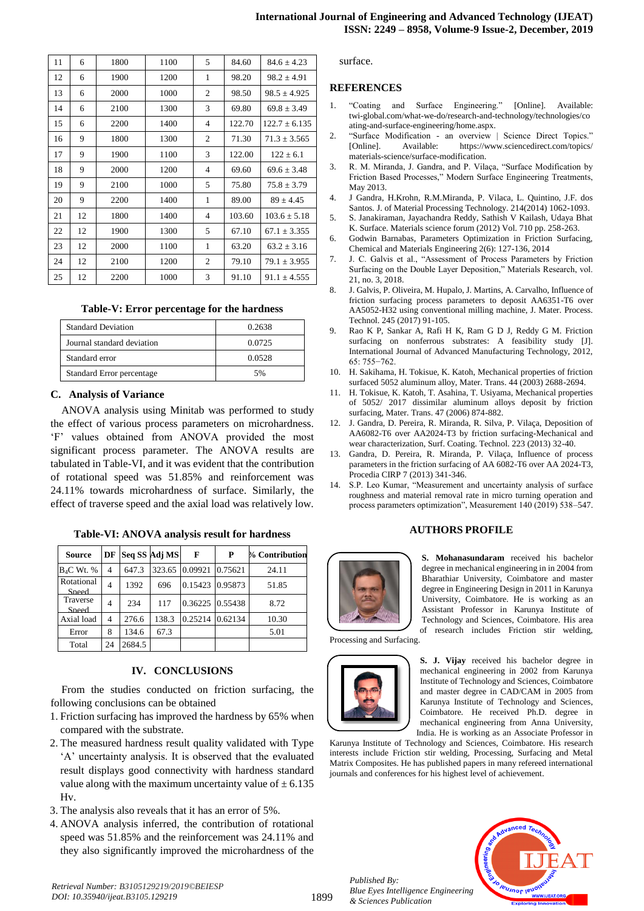| 11 | 6  | 1800 | 1100 | 5              | 84.60  | $84.6 \pm 4.23$   |
|----|----|------|------|----------------|--------|-------------------|
| 12 | 6  | 1900 | 1200 | 1              | 98.20  | $98.2 + 4.91$     |
| 13 | 6  | 2000 | 1000 | $\overline{c}$ | 98.50  | $98.5 \pm 4.925$  |
| 14 | 6  | 2100 | 1300 | 3              | 69.80  | $69.8 \pm 3.49$   |
| 15 | 6  | 2200 | 1400 | $\overline{4}$ | 122.70 | $122.7 \pm 6.135$ |
| 16 | 9  | 1800 | 1300 | 2              | 71.30  | $71.3 + 3.565$    |
| 17 | 9  | 1900 | 1100 | 3              | 122.00 | $122 \pm 6.1$     |
| 18 | 9  | 2000 | 1200 | $\overline{4}$ | 69.60  | $69.6 \pm 3.48$   |
| 19 | 9  | 2100 | 1000 | 5              | 75.80  | $75.8 \pm 3.79$   |
| 20 | 9  | 2200 | 1400 | 1              | 89.00  | $89 + 4.45$       |
| 21 | 12 | 1800 | 1400 | $\overline{4}$ | 103.60 | $103.6 \pm 5.18$  |
| 22 | 12 | 1900 | 1300 | 5              | 67.10  | $67.1 \pm 3.355$  |
| 23 | 12 | 2000 | 1100 | 1              | 63.20  | $63.2 \pm 3.16$   |
| 24 | 12 | 2100 | 1200 | $\overline{c}$ | 79.10  | $79.1 \pm 3.955$  |
| 25 | 12 | 2200 | 1000 | 3              | 91.10  | $91.1 \pm 4.555$  |

#### **Table-V: Error percentage for the hardness**

| <b>Standard Deviation</b>  | 0.2638 |
|----------------------------|--------|
| Journal standard deviation | 0.0725 |
| Standard error             | 0.0528 |
| Standard Error percentage  | 5%     |

#### **C. Analysis of Variance**

ANOVA analysis using Minitab was performed to study the effect of various process parameters on microhardness. 'F' values obtained from ANOVA provided the most significant process parameter. The ANOVA results are tabulated in Table-VI, and it was evident that the contribution of rotational speed was 51.85% and reinforcement was 24.11% towards microhardness of surface. Similarly, the effect of traverse speed and the axial load was relatively low.

**Table-VI: ANOVA analysis result for hardness**

| Source                      | DF             |        | Seq SS Adj MS | F               | P       | % Contribution |
|-----------------------------|----------------|--------|---------------|-----------------|---------|----------------|
| <b>B<sub>4</sub>C</b> Wt. % | 4              | 647.3  | 323.65        | 0.09921         | 0.75621 | 24.11          |
| Rotational<br>Sneed         | $\overline{4}$ | 1392   | 696           | 0.15423 0.95873 |         | 51.85          |
| Traverse<br>Sneed           | 4              | 234    | 117           | 0.36225 0.55438 |         | 8.72           |
| Axial load                  | $\overline{4}$ | 276.6  | 138.3         | 0.25214         | 0.62134 | 10.30          |
| Error                       | 8              | 134.6  | 67.3          |                 |         | 5.01           |
| Total                       | 24             | 2684.5 |               |                 |         |                |

#### **IV. CONCLUSIONS**

From the studies conducted on friction surfacing, the following conclusions can be obtained

- 1. Friction surfacing has improved the hardness by 65% when compared with the substrate.
- 2. The measured hardness result quality validated with Type 'A' uncertainty analysis. It is observed that the evaluated result displays good connectivity with hardness standard value along with the maximum uncertainty value of  $\pm$  6.135 Hv.
- 3. The analysis also reveals that it has an error of 5%.
- 4. ANOVA analysis inferred, the contribution of rotational speed was 51.85% and the reinforcement was 24.11% and they also significantly improved the microhardness of the

surface.

#### **REFERENCES**

- 1. "Coating and Surface Engineering." [Online]. Available: twi-global.com/what-we-do/research-and-technology/technologies/co ating-and-surface-engineering/home.aspx.
- 2. "Surface Modification an overview | Science Direct Topics." [Online]. Available: https://www.sciencedirect.com/topics/ materials-science/surface-modification.
- 3. R. M. Miranda, J. Gandra, and P. Vilaça, "Surface Modification by Friction Based Processes," Modern Surface Engineering Treatments, May 2013.
- 4. J Gandra, H.Krohn, R.M.Miranda, P. Vilaca, L. Quintino, J.F. dos Santos. J. of Material Processing Technology. 214(2014) 1062-1093.
- 5. S. Janakiraman, Jayachandra Reddy, Sathish V Kailash, Udaya Bhat K. Surface. Materials science forum (2012) Vol. 710 pp. 258-263.
- 6. Godwin Barnabas, Parameters Optimization in Friction Surfacing, Chemical and Materials Engineering 2(6): 127-136, 2014
- 7. J. C. Galvis et al., "Assessment of Process Parameters by Friction Surfacing on the Double Layer Deposition," Materials Research, vol. 21, no. 3, 2018.
- 8. J. Galvis, P. Oliveira, M. Hupalo, J. Martins, A. Carvalho, Influence of friction surfacing process parameters to deposit AA6351-T6 over AA5052-H32 using conventional milling machine, J. Mater. Process. Technol. 245 (2017) 91-105.
- 9. Rao K P, Sankar A, Rafi H K, Ram G D J, Reddy G M. Friction surfacing on nonferrous substrates: A feasibility study [J]. International Journal of Advanced Manufacturing Technology, 2012, 65: 755−762.
- 10. H. Sakihama, H. Tokisue, K. Katoh, Mechanical properties of friction surfaced 5052 aluminum alloy, Mater. Trans. 44 (2003) 2688-2694.
- 11. H. Tokisue, K. Katoh, T. Asahina, T. Usiyama, Mechanical properties of 5052/ 2017 dissimilar aluminum alloys deposit by friction surfacing, Mater. Trans. 47 (2006) 874-882.
- 12. J. Gandra, D. Pereira, R. Miranda, R. Silva, P. Vilaça, Deposition of AA6082-T6 over AA2024-T3 by friction surfacing-Mechanical and wear characterization, Surf. Coating. Technol. 223 (2013) 32-40.
- 13. Gandra, D. Pereira, R. Miranda, P. Vilaça, Influence of process parameters in the friction surfacing of AA 6082-T6 over AA 2024-T3, Procedia CIRP 7 (2013) 341-346.
- 14. S.P. Leo Kumar, "Measurement and uncertainty analysis of surface roughness and material removal rate in micro turning operation and process parameters optimization", Measurement 140 (2019) 538–547.

#### **AUTHORS PROFILE**



**S. Mohanasundaram** received his bachelor degree in mechanical engineering in in 2004 from Bharathiar University, Coimbatore and master degree in Engineering Design in 2011 in Karunya University, Coimbatore. He is working as an Assistant Professor in Karunya Institute of Technology and Sciences, Coimbatore. His area of research includes Friction stir welding,

Processing and Surfacing.



**S. J. Vijay** received his bachelor degree in mechanical engineering in 2002 from Karunya Institute of Technology and Sciences, Coimbatore and master degree in CAD/CAM in 2005 from Karunya Institute of Technology and Sciences, Coimbatore. He received Ph.D. degree in mechanical engineering from Anna University, India. He is working as an Associate Professor in

Karunya Institute of Technology and Sciences, Coimbatore. His research interests include Friction stir welding, Processing, Surfacing and Metal Matrix Composites. He has published papers in many refereed international journals and conferences for his highest level of achievement.

*Published By: Blue Eyes Intelligence Engineering & Sciences Publication*